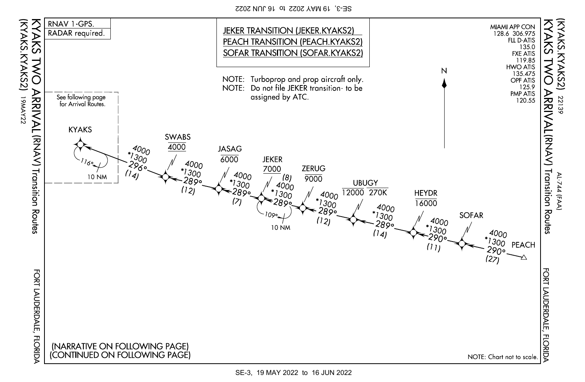SE-3, 19 MAY 2022 to 16 JUN 2022



SE-3, 19 MAY 2022 to 16 JUN 2022